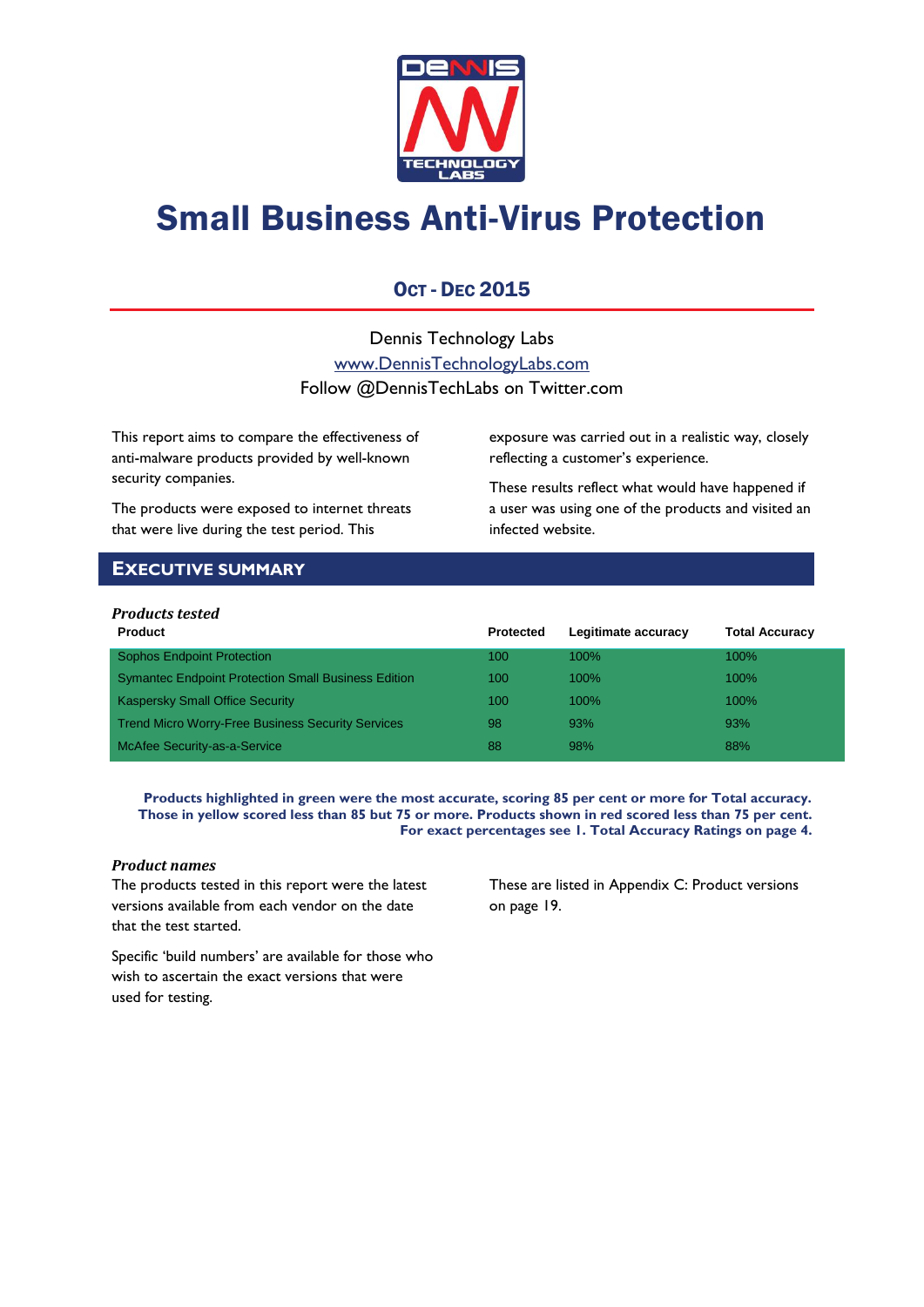

# Small Business Anti-Virus Protection

### OCT - DEC 2015

Dennis Technology Labs [www.DennisTechnologyLabs.com](http://www.dennistechnologylabs.com/) Follow @DennisTechLabs on Twitter.com

This report aims to compare the effectiveness of anti-malware products provided by well-known security companies.

The products were exposed to internet threats that were live during the test period. This

exposure was carried out in a realistic way, closely reflecting a customer's experience.

These results reflect what would have happened if a user was using one of the products and visited an infected website.

### <span id="page-0-0"></span>**EXECUTIVE SUMMARY**

### *Products tested*

| <b>Product</b>                                             | <b>Protected</b> | Legitimate accuracy | <b>Total Accuracy</b> |
|------------------------------------------------------------|------------------|---------------------|-----------------------|
| <b>Sophos Endpoint Protection</b>                          | 100              | 100%                | $100\%$               |
| <b>Symantec Endpoint Protection Small Business Edition</b> | 100              | 100%                | $100\%$               |
| <b>Kaspersky Small Office Security</b>                     | 100              | 100%                | $100\%$               |
| <b>Trend Micro Worry-Free Business Security Services</b>   | 98               | 93%                 | 93%                   |
| McAfee Security-as-a-Service                               | 88               | 98%                 | 88%                   |

**Products highlighted in green were the most accurate, scoring 85 per cent or more for Total accuracy. Those in yellow scored less than 85 but 75 or more. Products shown in red scored less than 75 per cent. For exact percentages see 1. Total Accuracy Ratings on page 4.**

### *Product names*

The products tested in this report were the latest versions available from each vendor on the date that the test started.

These are listed in [Appendix C: Product versions](#page-19-0) on page 19.

Specific 'build numbers' are available for those who wish to ascertain the exact versions that were used for testing.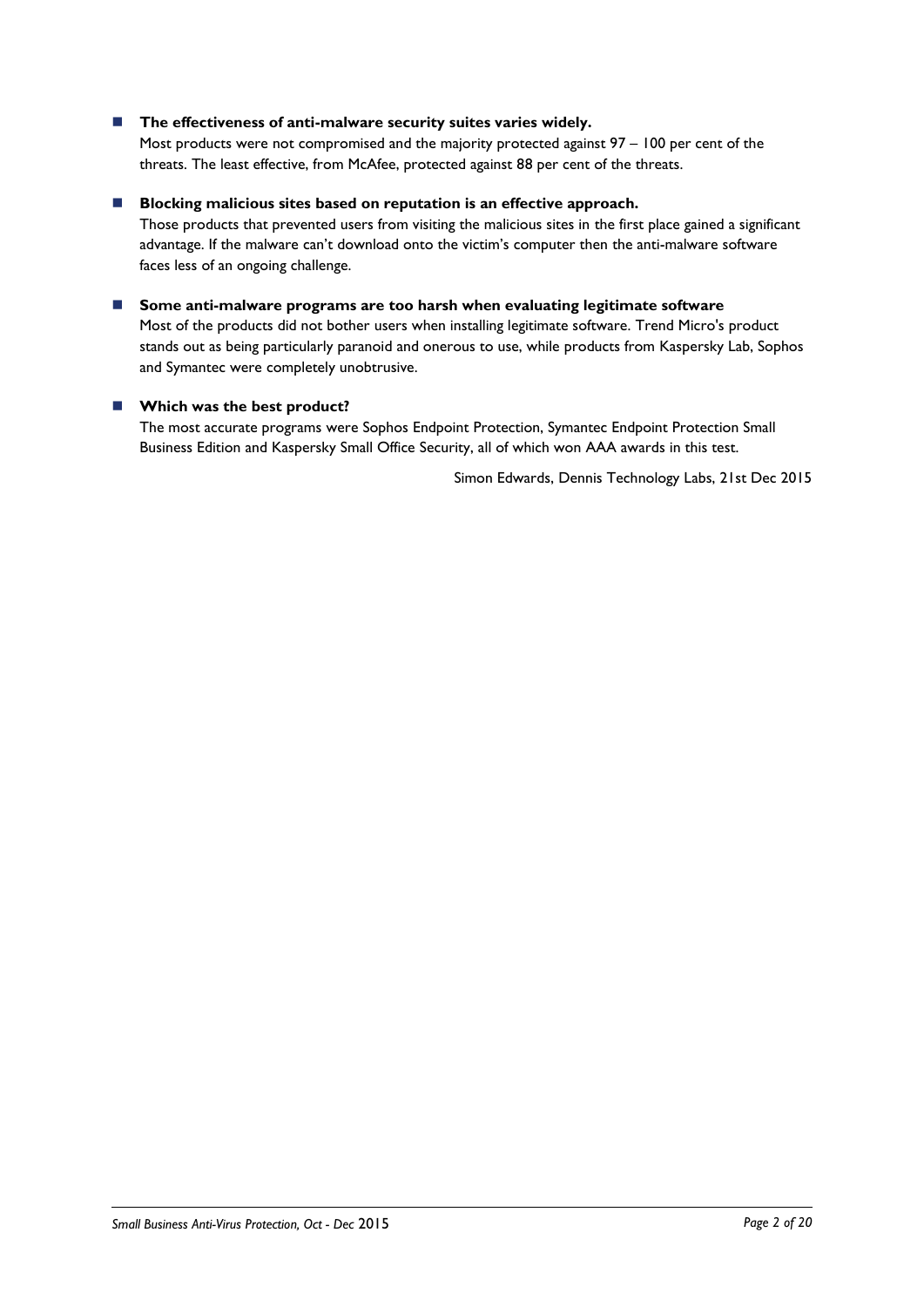### ■ The effectiveness of anti-malware security suites varies widely.

Most products were not compromised and the majority protected against 97 – 100 per cent of the threats. The least effective, from McAfee, protected against 88 per cent of the threats.

#### **Blocking malicious sites based on reputation is an effective approach.**

Those products that prevented users from visiting the malicious sites in the first place gained a significant advantage. If the malware can't download onto the victim's computer then the anti-malware software faces less of an ongoing challenge.

 **Some anti-malware programs are too harsh when evaluating legitimate software** Most of the products did not bother users when installing legitimate software. Trend Micro's product stands out as being particularly paranoid and onerous to use, while products from Kaspersky Lab, Sophos and Symantec were completely unobtrusive.

### **Which was the best product?**

The most accurate programs were Sophos Endpoint Protection, Symantec Endpoint Protection Small Business Edition and Kaspersky Small Office Security, all of which won AAA awards in this test.

Simon Edwards, Dennis Technology Labs, 21st Dec 2015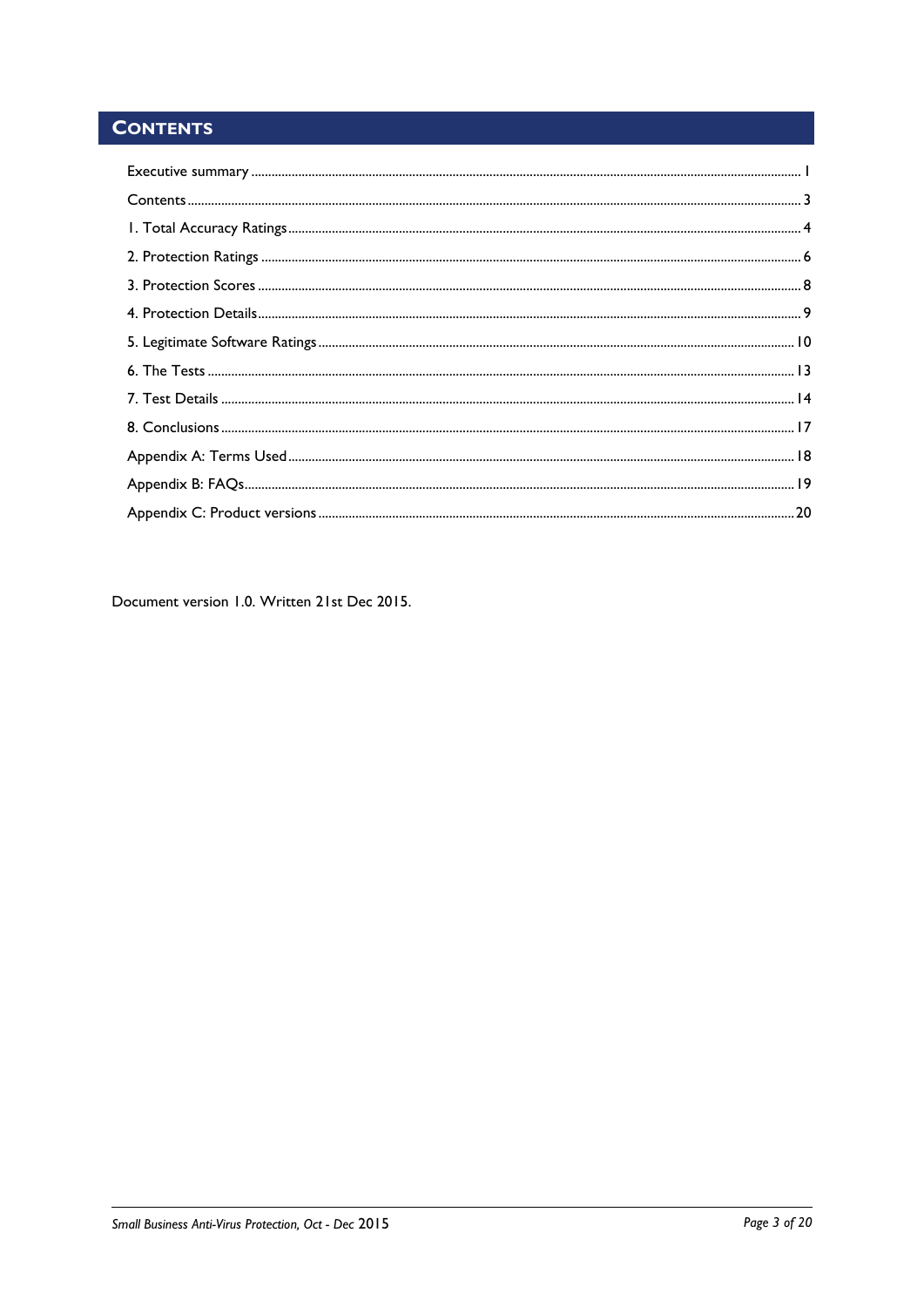### <span id="page-2-0"></span>**CONTENTS**

Document version 1.0. Written 21st Dec 2015.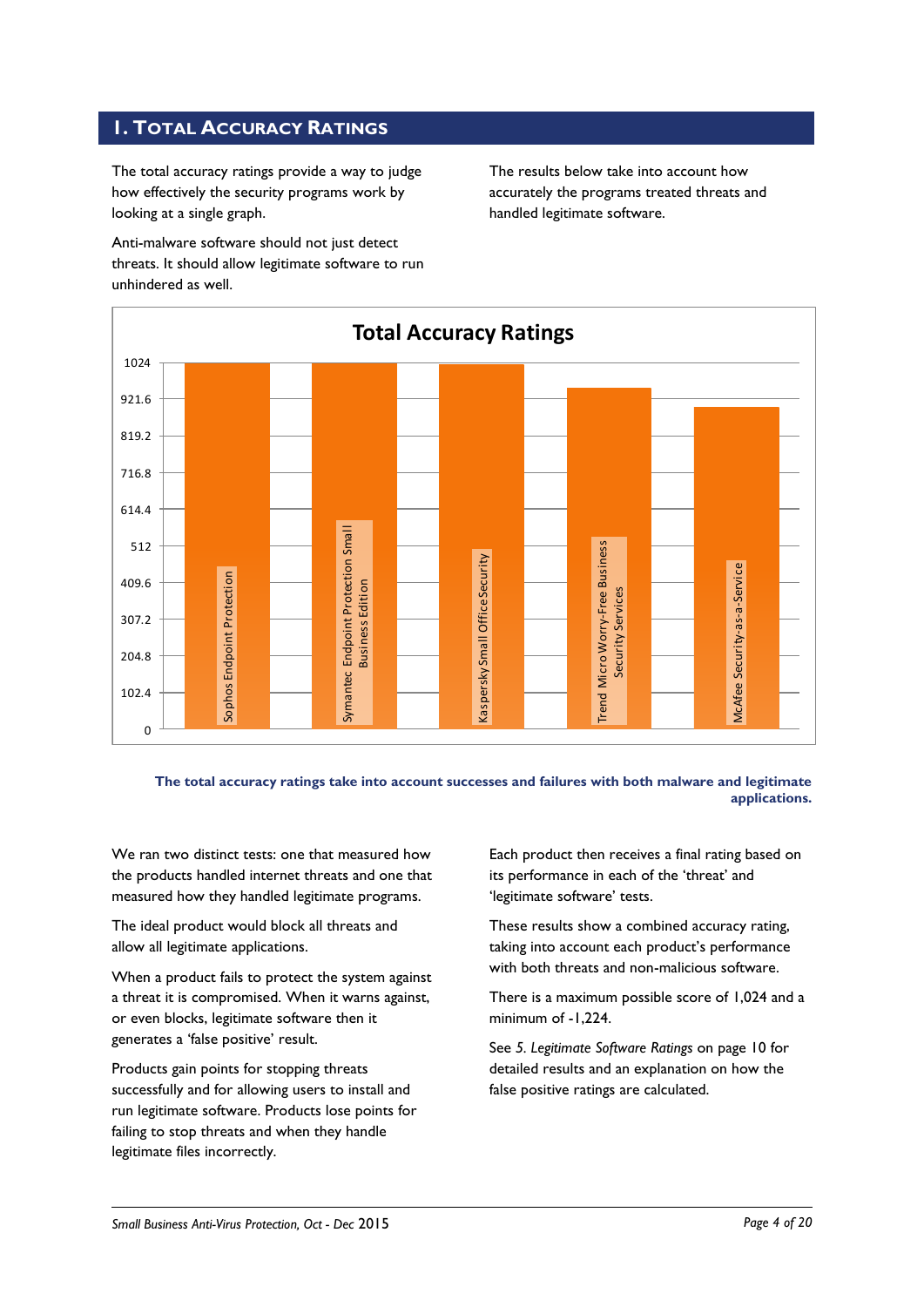### <span id="page-3-0"></span>**1. TOTAL ACCURACY RATINGS**

The total accuracy ratings provide a way to judge how effectively the security programs work by looking at a single graph.

Anti-malware software should not just detect threats. It should allow legitimate software to run unhindered as well.

The results below take into account how accurately the programs treated threats and handled legitimate software.



**The total accuracy ratings take into account successes and failures with both malware and legitimate applications.**

We ran two distinct tests: one that measured how the products handled internet threats and one that measured how they handled legitimate programs.

The ideal product would block all threats and allow all legitimate applications.

When a product fails to protect the system against a threat it is compromised. When it warns against, or even blocks, legitimate software then it generates a 'false positive' result.

Products gain points for stopping threats successfully and for allowing users to install and run legitimate software. Products lose points for failing to stop threats and when they handle legitimate files incorrectly.

Each product then receives a final rating based on its performance in each of the 'threat' and 'legitimate software' tests.

These results show a combined accuracy rating, taking into account each product's performance with both threats and non-malicious software.

There is a maximum possible score of 1,024 and a minimum of -1,224.

See *5. Legitimate Software Ratings* on page 10 for detailed results and an explanation on how the false positive ratings are calculated.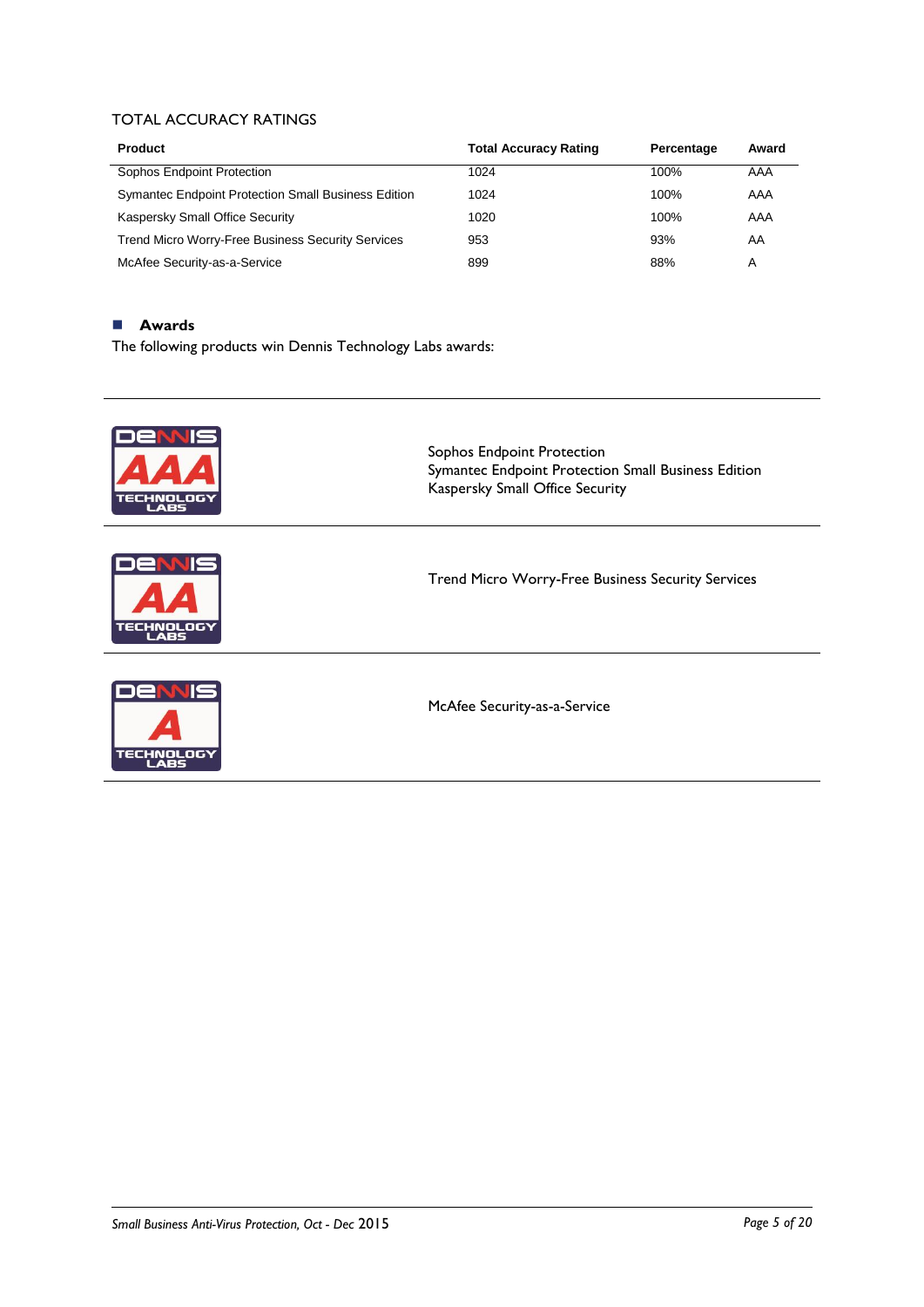### TOTAL ACCURACY RATINGS

| <b>Product</b>                                             | <b>Total Accuracy Rating</b> | Percentage | Award |
|------------------------------------------------------------|------------------------------|------------|-------|
| Sophos Endpoint Protection                                 | 1024                         | 100%       | AAA   |
| <b>Symantec Endpoint Protection Small Business Edition</b> | 1024                         | 100%       | AAA   |
| Kaspersky Small Office Security                            | 1020                         | 100%       | AAA   |
| <b>Trend Micro Worry-Free Business Security Services</b>   | 953                          | 93%        | AA    |
| McAfee Security-as-a-Service                               | 899                          | 88%        | Α     |

### **Awards**

The following products win Dennis Technology Labs awards:

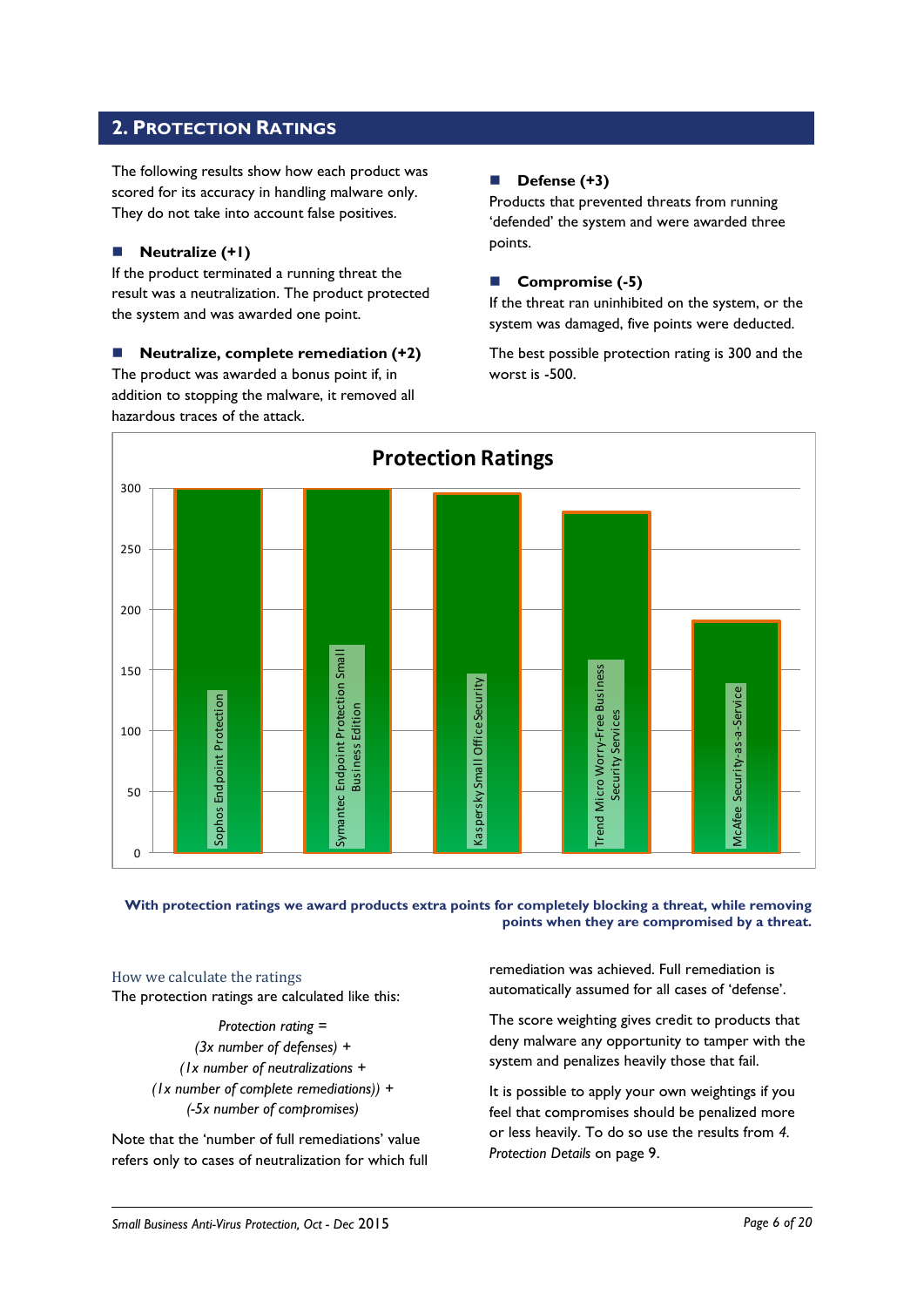### <span id="page-5-0"></span>**2. PROTECTION RATINGS**

The following results show how each product was scored for its accuracy in handling malware only. They do not take into account false positives.

### **Neutralize (+1)**

If the product terminated a running threat the result was a neutralization. The product protected the system and was awarded one point.

 **Neutralize, complete remediation (+2)** The product was awarded a bonus point if, in addition to stopping the malware, it removed all hazardous traces of the attack.

### **Defense (+3)**

Products that prevented threats from running 'defended' the system and were awarded three points.

### **Compromise (-5)**

If the threat ran uninhibited on the system, or the system was damaged, five points were deducted.

The best possible protection rating is 300 and the worst is -500.



### **With protection ratings we award products extra points for completely blocking a threat, while removing points when they are compromised by a threat.**

How we calculate the ratings The protection ratings are calculated like this:

> *Protection rating = (3x number of defenses) + (1x number of neutralizations + (1x number of complete remediations)) + (-5x number of compromises)*

Note that the 'number of full remediations' value refers only to cases of neutralization for which full

remediation was achieved. Full remediation is automatically assumed for all cases of 'defense'.

The score weighting gives credit to products that deny malware any opportunity to tamper with the system and penalizes heavily those that fail.

It is possible to apply your own weightings if you feel that compromises should be penalized more or less heavily. To do so use the results from *4. Protection Details* on page 9.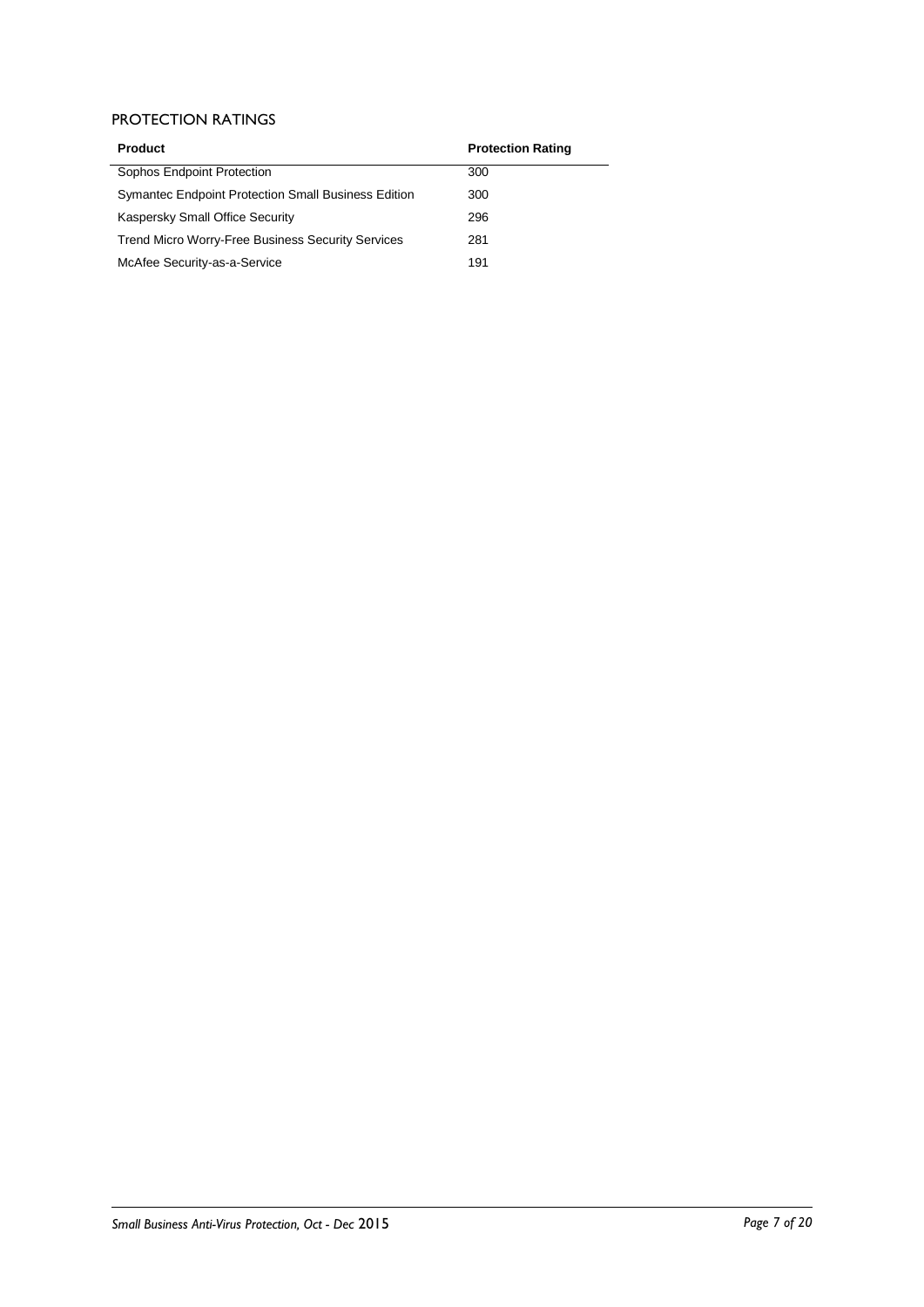### PROTECTION RATINGS

| <b>Product</b>                                           | <b>Protection Rating</b> |
|----------------------------------------------------------|--------------------------|
| Sophos Endpoint Protection                               | 300                      |
| Symantec Endpoint Protection Small Business Edition      | 300                      |
| Kaspersky Small Office Security                          | 296                      |
| <b>Trend Micro Worry-Free Business Security Services</b> | 281                      |
| McAfee Security-as-a-Service                             | 191                      |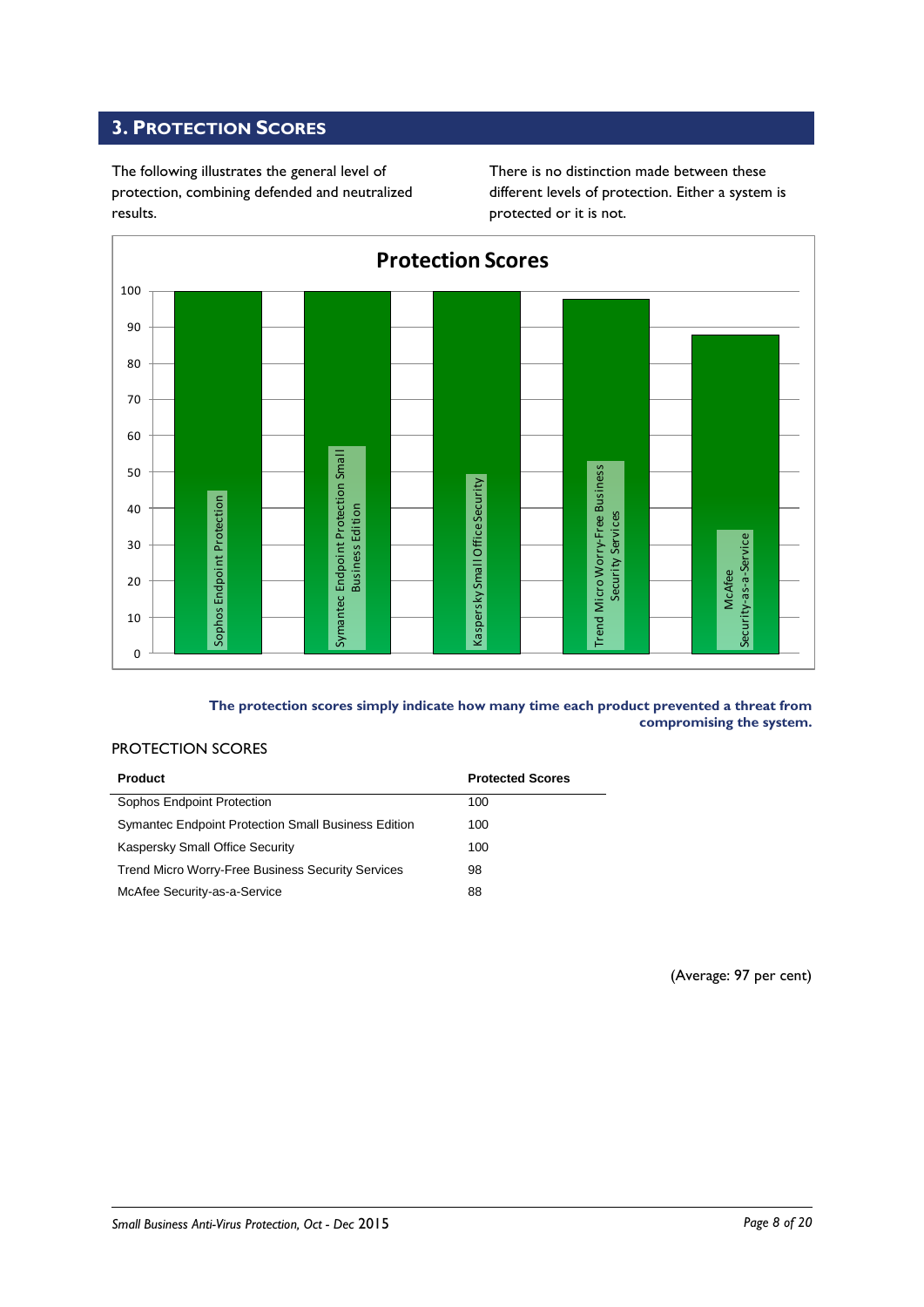### <span id="page-7-0"></span>**3. PROTECTION SCORES**

The following illustrates the general level of protection, combining defended and neutralized results.

There is no distinction made between these different levels of protection. Either a system is protected or it is not.



**The protection scores simply indicate how many time each product prevented a threat from compromising the system.**

### PROTECTION SCORES

| <b>Product</b>                                           | <b>Protected Scores</b> |
|----------------------------------------------------------|-------------------------|
| Sophos Endpoint Protection                               | 100                     |
| Symantec Endpoint Protection Small Business Edition      | 100                     |
| Kaspersky Small Office Security                          | 100                     |
| <b>Trend Micro Worry-Free Business Security Services</b> | 98                      |
| McAfee Security-as-a-Service                             | 88                      |

(Average: 97 per cent)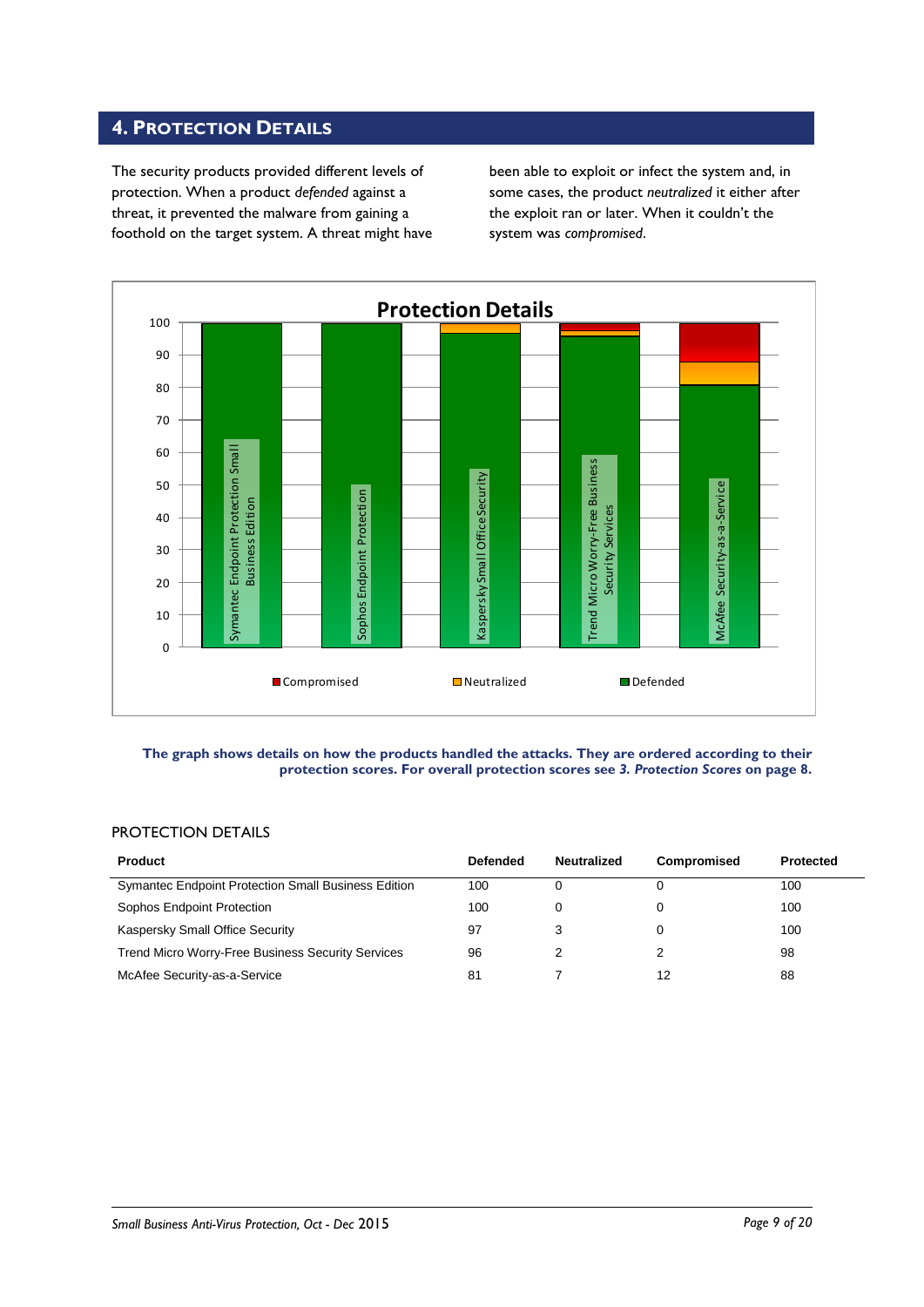### <span id="page-8-0"></span>**4. PROTECTION DETAILS**

The security products provided different levels of protection. When a product *defended* against a threat, it prevented the malware from gaining a foothold on the target system. A threat might have been able to exploit or infect the system and, in some cases, the product *neutralized* it either after the exploit ran or later. When it couldn't the system was *compromised*.



#### **The graph shows details on how the products handled the attacks. They are ordered according to their protection scores. For overall protection scores see** *3. Protection Scores* **on page 8.**

### PROTECTION DETAILS

| <b>Product</b>                                             | <b>Defended</b> | <b>Neutralized</b> | <b>Compromised</b> | <b>Protected</b> |
|------------------------------------------------------------|-----------------|--------------------|--------------------|------------------|
| <b>Symantec Endpoint Protection Small Business Edition</b> | 100             |                    |                    | 100              |
| Sophos Endpoint Protection                                 | 100             |                    |                    | 100              |
| Kaspersky Small Office Security                            | 97              | З                  |                    | 100              |
| Trend Micro Worry-Free Business Security Services          | 96              |                    |                    | 98               |
| McAfee Security-as-a-Service                               | 81              |                    | 12                 | 88               |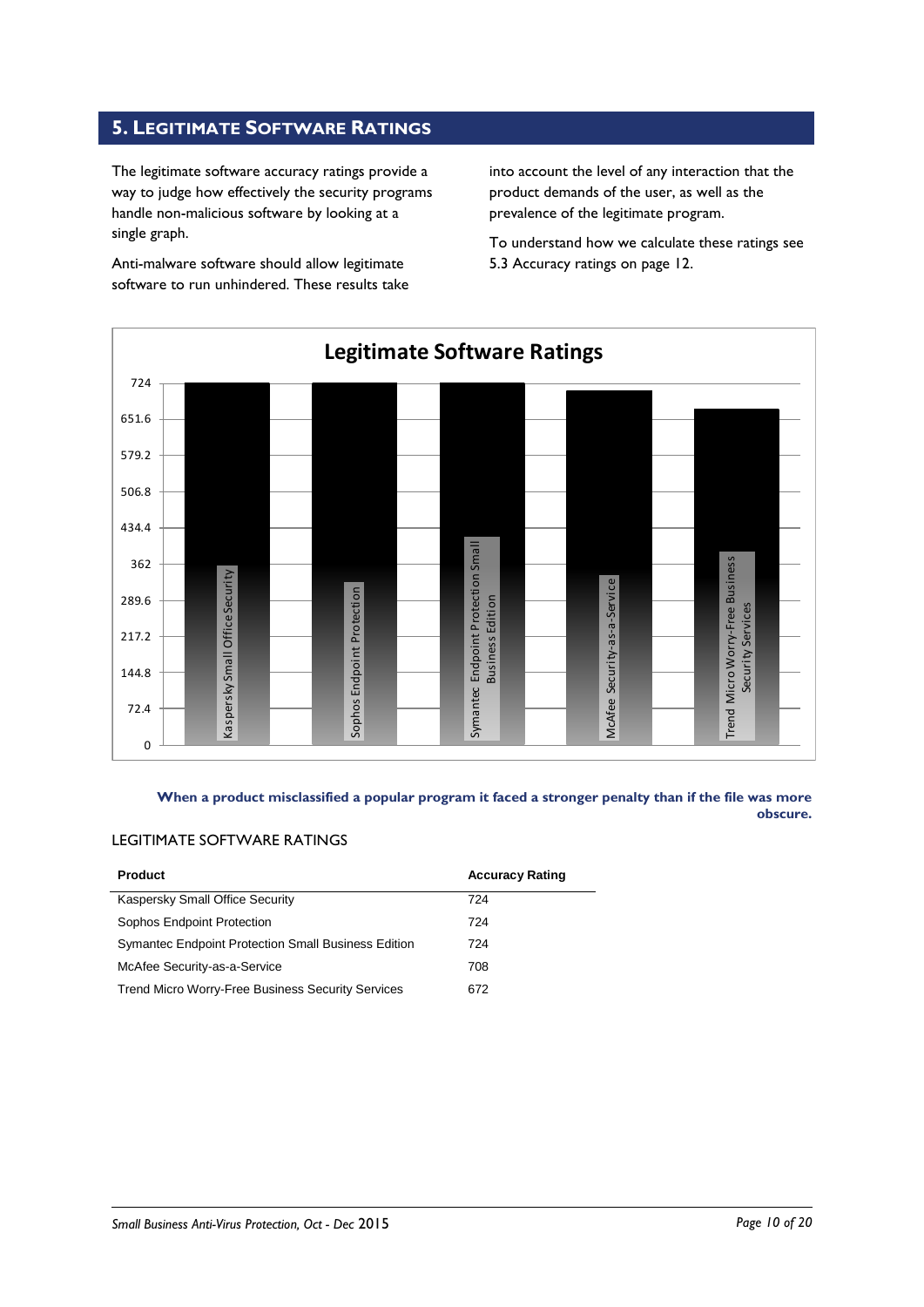### <span id="page-9-0"></span>**5. LEGITIMATE SOFTWARE RATINGS**

The legitimate software accuracy ratings provide a way to judge how effectively the security programs handle non-malicious software by looking at a single graph.

Anti-malware software should allow legitimate software to run unhindered. These results take into account the level of any interaction that the product demands of the user, as well as the prevalence of the legitimate program.

To understand how we calculate these ratings see 5.3 Accuracy ratings on page 12.



**When a product misclassified a popular program it faced a stronger penalty than if the file was more obscure.**

### LEGITIMATE SOFTWARE RATINGS

| <b>Product</b>                                           | <b>Accuracy Rating</b> |
|----------------------------------------------------------|------------------------|
| Kaspersky Small Office Security                          | 724                    |
| Sophos Endpoint Protection                               | 724                    |
| Symantec Endpoint Protection Small Business Edition      | 724                    |
| McAfee Security-as-a-Service                             | 708                    |
| <b>Trend Micro Worry-Free Business Security Services</b> | 672                    |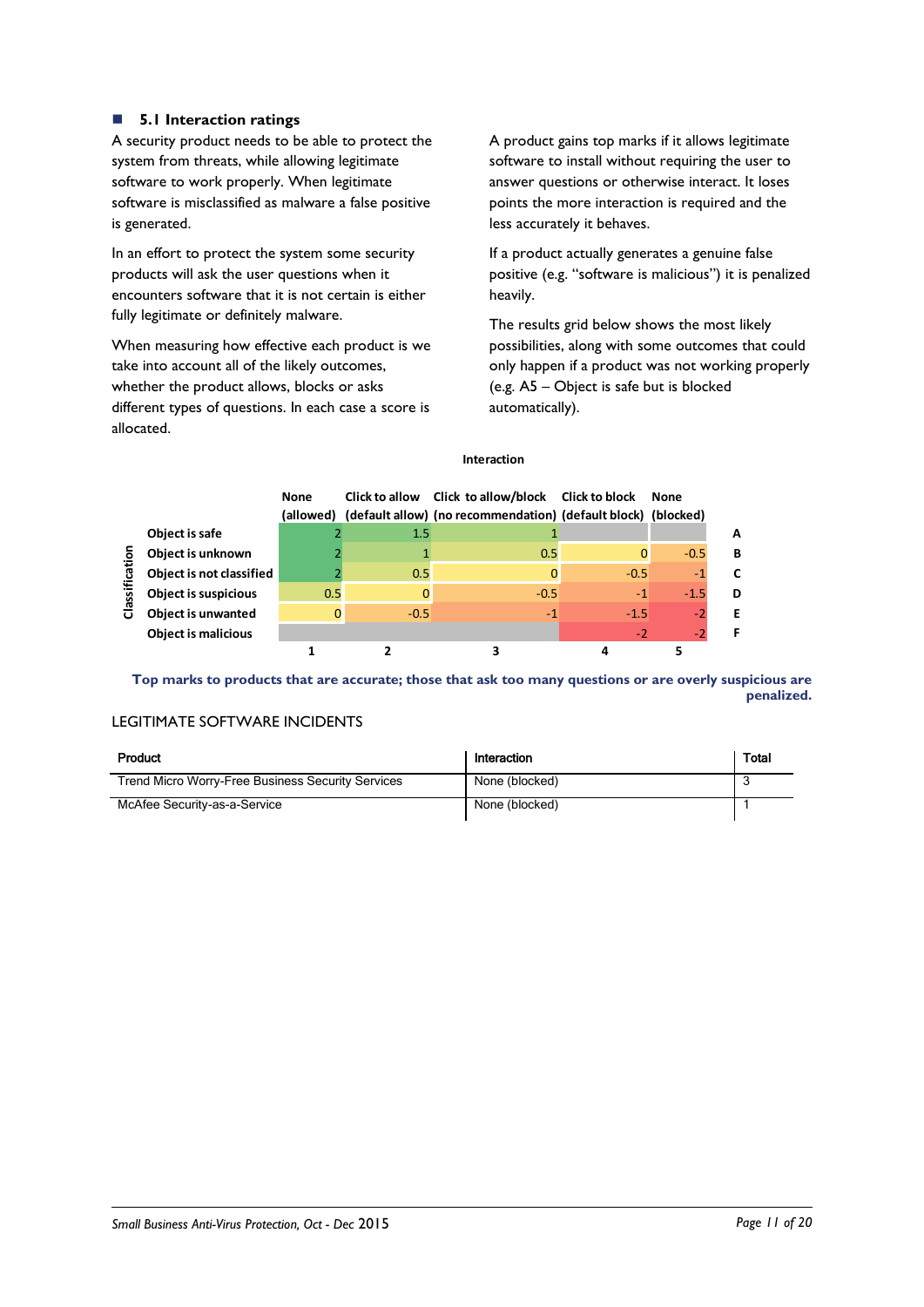### **5.1 Interaction ratings**

A security product needs to be able to protect the system from threats, while allowing legitimate software to work properly. When legitimate software is misclassified as malware a false positive is generated.

In an effort to protect the system some security products will ask the user questions when it encounters software that it is not certain is either fully legitimate or definitely malware.

When measuring how effective each product is we take into account all of the likely outcomes, whether the product allows, blocks or asks different types of questions. In each case a score is allocated.

A product gains top marks if it allows legitimate software to install without requiring the user to answer questions or otherwise interact. It loses points the more interaction is required and the less accurately it behaves.

If a product actually generates a genuine false positive (e.g. "software is malicious") it is penalized heavily.

The results grid below shows the most likely possibilities, along with some outcomes that could only happen if a product was not working properly (e.g. A5 – Object is safe but is blocked automatically).

### **Interaction**

|                |                             | <b>None</b> |         | Click to allow Click to allow/block Click to block<br>(allowed) (default allow) (no recommendation) (default block) (blocked) |        | <b>None</b> |   |
|----------------|-----------------------------|-------------|---------|-------------------------------------------------------------------------------------------------------------------------------|--------|-------------|---|
|                | Object is safe              |             | $1.5\,$ |                                                                                                                               |        |             | A |
| ō              | Object is unknown           |             |         | 0.5                                                                                                                           | 0      | $-0.5$      | B |
| డై             | Object is not classified    |             | 0.5     |                                                                                                                               | $-0.5$ | $-1$        |   |
| ₹ä             | <b>Object is suspicious</b> | 0.5         | 0       | $-0.5$                                                                                                                        | $-1$   | $-1.5$      | D |
| $\overline{O}$ | <b>Object is unwanted</b>   |             | $-0.5$  | $-1$                                                                                                                          | $-1.5$ | $-2$        | Е |
|                | <b>Object is malicious</b>  |             |         |                                                                                                                               | $-2$   | -2          |   |
|                |                             |             |         |                                                                                                                               |        |             |   |

**Top marks to products that are accurate; those that ask too many questions or are overly suspicious are penalized.**

### LEGITIMATE SOFTWARE INCIDENTS

| Product                                                  | Interaction    | <b>Total</b> |
|----------------------------------------------------------|----------------|--------------|
| <b>Trend Micro Worry-Free Business Security Services</b> | None (blocked) |              |
| McAfee Security-as-a-Service                             | None (blocked) |              |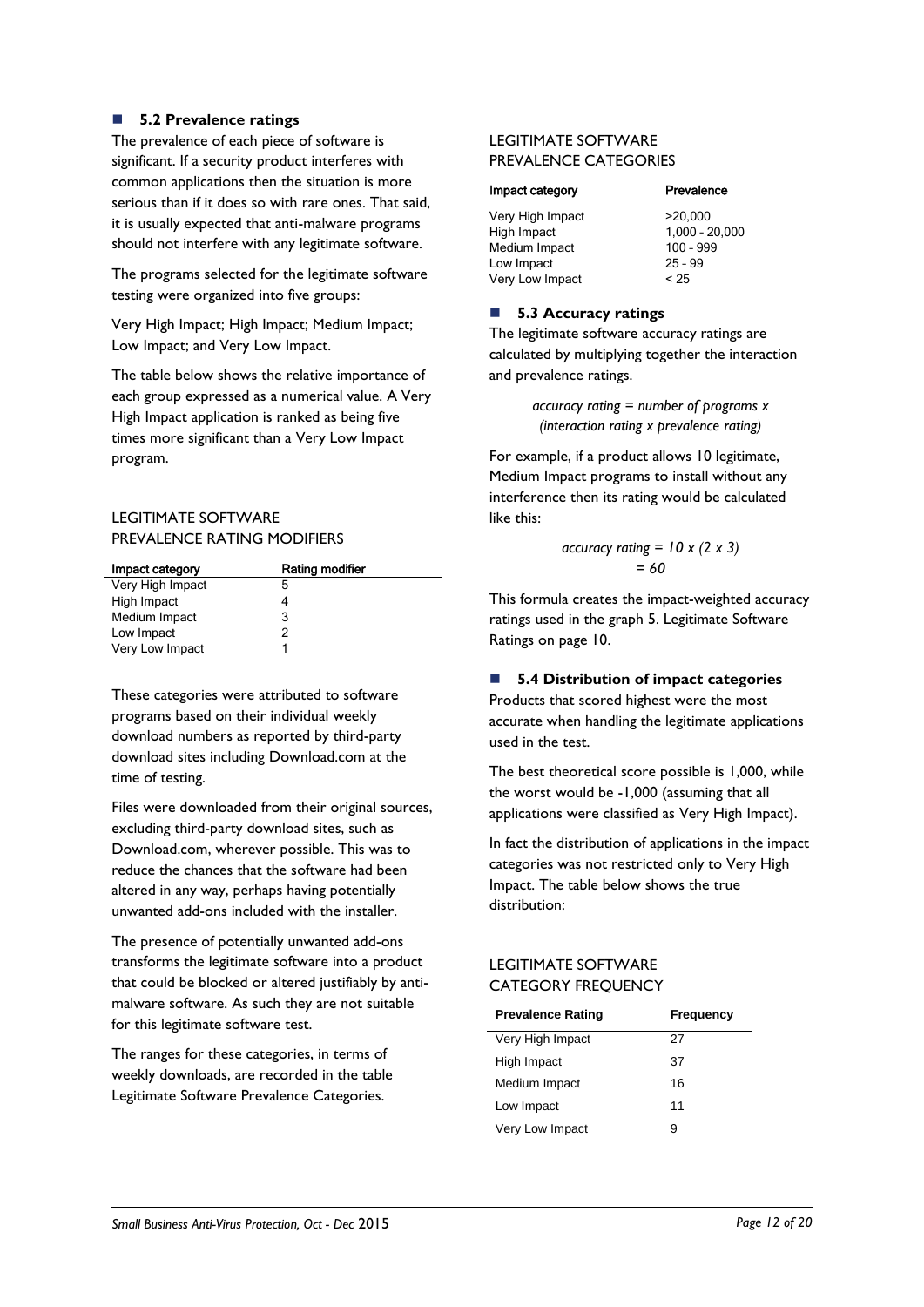### **5.2 Prevalence ratings**

The prevalence of each piece of software is significant. If a security product interferes with common applications then the situation is more serious than if it does so with rare ones. That said, it is usually expected that anti-malware programs should not interfere with any legitimate software.

The programs selected for the legitimate software testing were organized into five groups:

Very High Impact; High Impact; Medium Impact; Low Impact; and Very Low Impact.

The table below shows the relative importance of each group expressed as a numerical value. A Very High Impact application is ranked as being five times more significant than a Very Low Impact program.

### LEGITIMATE SOFTWARE PREVALENCE RATING MODIFIERS

| Impact category  | Rating modifier |
|------------------|-----------------|
| Very High Impact | 5               |
| High Impact      |                 |
| Medium Impact    | 3               |
| Low Impact       | 2               |
| Very Low Impact  |                 |

These categories were attributed to software programs based on their individual weekly download numbers as reported by third-party download sites including Download.com at the time of testing.

Files were downloaded from their original sources, excluding third-party download sites, such as Download.com, wherever possible. This was to reduce the chances that the software had been altered in any way, perhaps having potentially unwanted add-ons included with the installer.

The presence of potentially unwanted add-ons transforms the legitimate software into a product that could be blocked or altered justifiably by antimalware software. As such they are not suitable for this legitimate software test.

The ranges for these categories, in terms of weekly downloads, are recorded in the table Legitimate Software Prevalence Categories.

### LEGITIMATE SOFTWARE PREVALENCE CATEGORIES

| Prevalence       |
|------------------|
| >20.000          |
| $1,000 - 20,000$ |
| $100 - 999$      |
| $25 - 99$        |
| < 25             |
|                  |

### ■ 5.3 Accuracy ratings

The legitimate software accuracy ratings are calculated by multiplying together the interaction and prevalence ratings.

> *accuracy rating = number of programs x (interaction rating x prevalence rating)*

For example, if a product allows 10 legitimate, Medium Impact programs to install without any interference then its rating would be calculated like this:

$$
\begin{aligned}\n\text{accuracy rating} &= 10 \times (2 \times 3) \\
&= 60\n\end{aligned}
$$

This formula creates the impact-weighted accuracy ratings used in the graph 5. Legitimate Software Ratings on page 10.

### **5.4 Distribution of impact categories**

Products that scored highest were the most accurate when handling the legitimate applications used in the test.

The best theoretical score possible is 1,000, while the worst would be -1,000 (assuming that all applications were classified as Very High Impact).

In fact the distribution of applications in the impact categories was not restricted only to Very High Impact. The table below shows the true distribution:

### LEGITIMATE SOFTWARE CATEGORY FREQUENCY

| <b>Prevalence Rating</b> | Frequency |
|--------------------------|-----------|
| Very High Impact         | 27        |
| High Impact              | 37        |
| Medium Impact            | 16        |
| Low Impact               | 11        |
| Very Low Impact          | я         |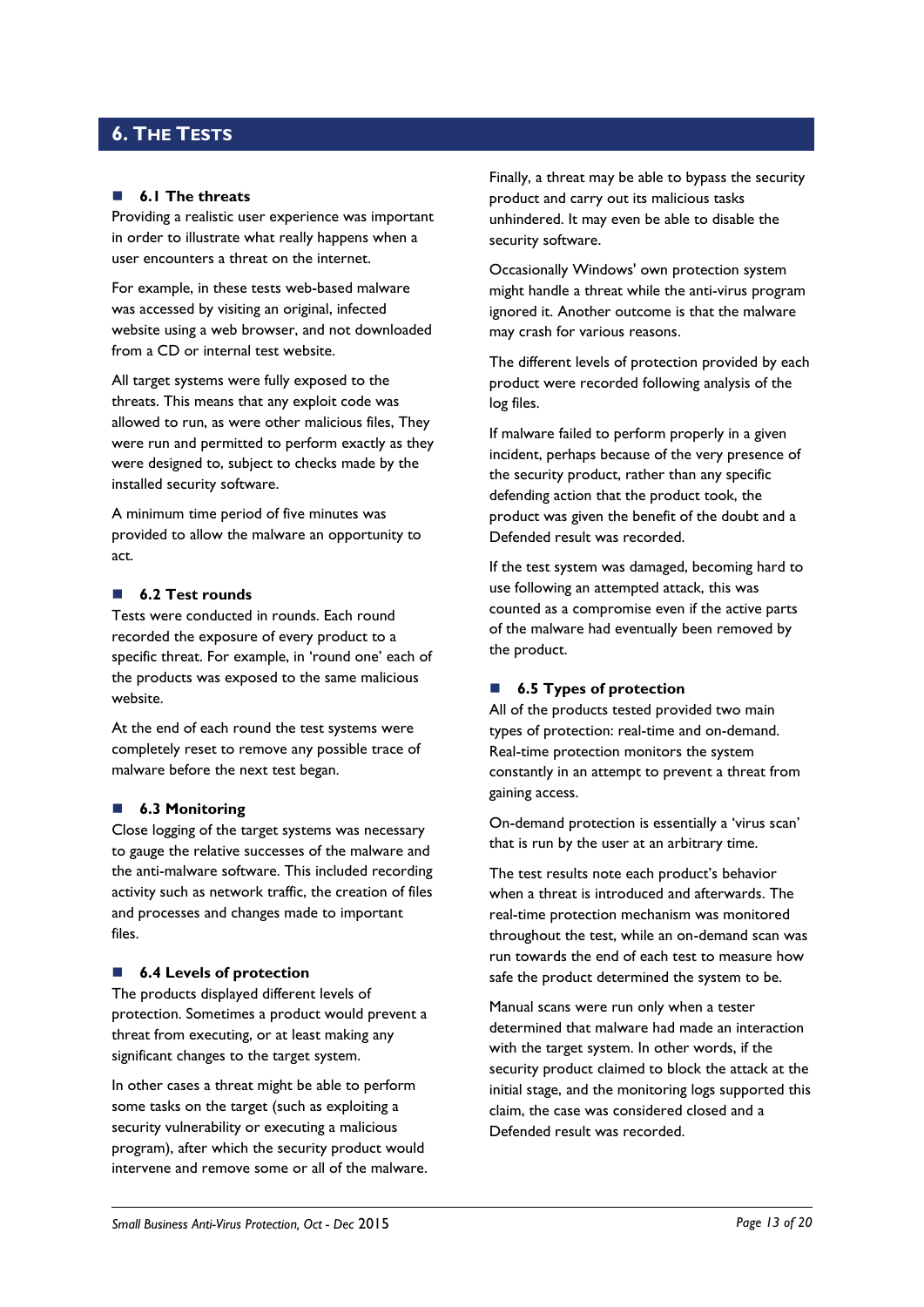### <span id="page-12-0"></span>**6. THE TESTS**

#### **6.1 The threats**

Providing a realistic user experience was important in order to illustrate what really happens when a user encounters a threat on the internet.

For example, in these tests web-based malware was accessed by visiting an original, infected website using a web browser, and not downloaded from a CD or internal test website.

All target systems were fully exposed to the threats. This means that any exploit code was allowed to run, as were other malicious files, They were run and permitted to perform exactly as they were designed to, subject to checks made by the installed security software.

A minimum time period of five minutes was provided to allow the malware an opportunity to act.

### **6.2 Test rounds**

Tests were conducted in rounds. Each round recorded the exposure of every product to a specific threat. For example, in 'round one' each of the products was exposed to the same malicious website.

At the end of each round the test systems were completely reset to remove any possible trace of malware before the next test began.

#### **6.3 Monitoring**

Close logging of the target systems was necessary to gauge the relative successes of the malware and the anti-malware software. This included recording activity such as network traffic, the creation of files and processes and changes made to important files.

#### ■ **6.4 Levels of protection**

The products displayed different levels of protection. Sometimes a product would prevent a threat from executing, or at least making any significant changes to the target system.

In other cases a threat might be able to perform some tasks on the target (such as exploiting a security vulnerability or executing a malicious program), after which the security product would intervene and remove some or all of the malware. Finally, a threat may be able to bypass the security product and carry out its malicious tasks unhindered. It may even be able to disable the security software.

Occasionally Windows' own protection system might handle a threat while the anti-virus program ignored it. Another outcome is that the malware may crash for various reasons.

The different levels of protection provided by each product were recorded following analysis of the log files.

If malware failed to perform properly in a given incident, perhaps because of the very presence of the security product, rather than any specific defending action that the product took, the product was given the benefit of the doubt and a Defended result was recorded.

If the test system was damaged, becoming hard to use following an attempted attack, this was counted as a compromise even if the active parts of the malware had eventually been removed by the product.

### ■ **6.5 Types of protection**

All of the products tested provided two main types of protection: real-time and on-demand. Real-time protection monitors the system constantly in an attempt to prevent a threat from gaining access.

On-demand protection is essentially a 'virus scan' that is run by the user at an arbitrary time.

The test results note each product's behavior when a threat is introduced and afterwards. The real-time protection mechanism was monitored throughout the test, while an on-demand scan was run towards the end of each test to measure how safe the product determined the system to be.

Manual scans were run only when a tester determined that malware had made an interaction with the target system. In other words, if the security product claimed to block the attack at the initial stage, and the monitoring logs supported this claim, the case was considered closed and a Defended result was recorded.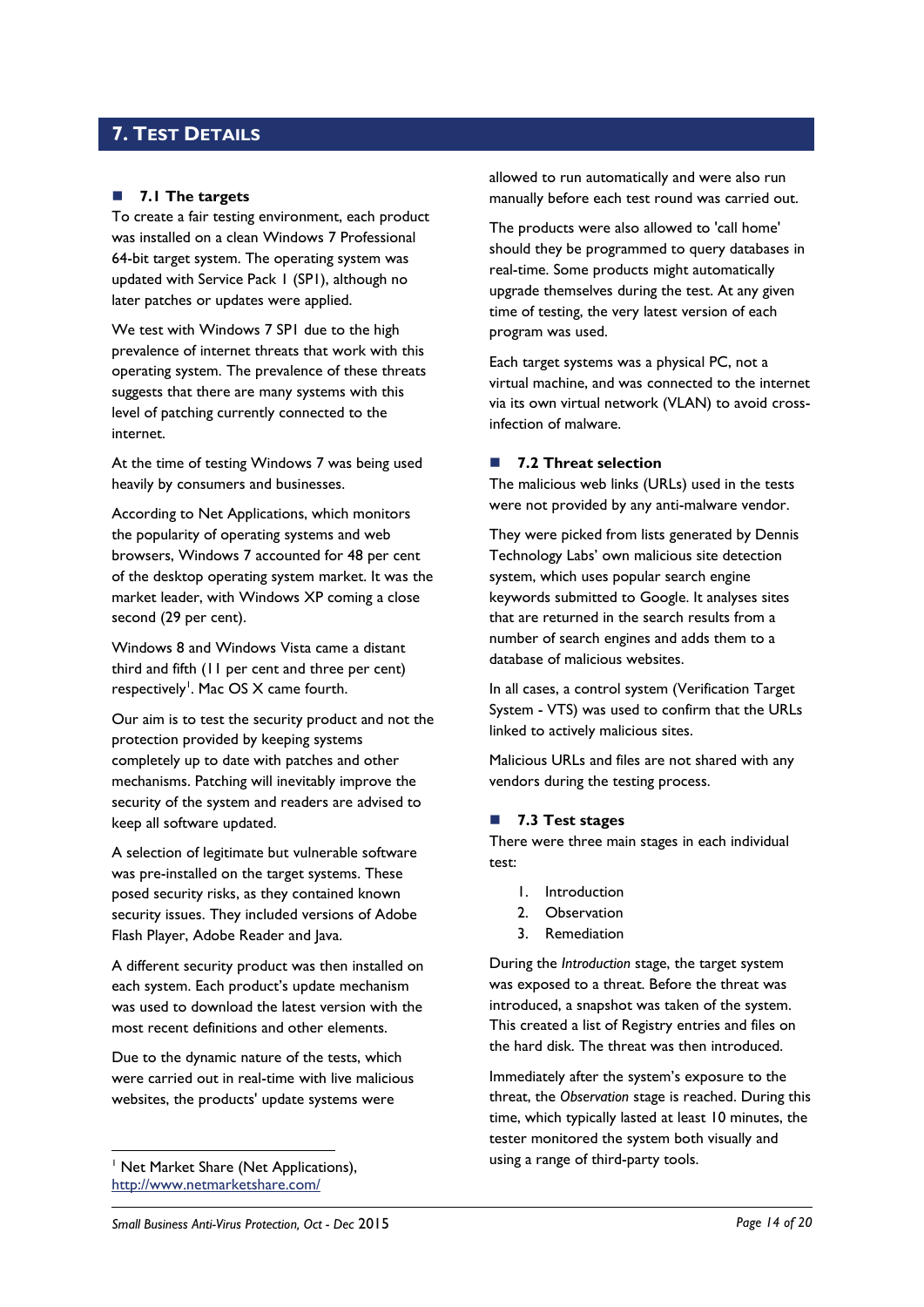### <span id="page-13-0"></span>**7. TEST DETAILS**

### **7.1 The targets**

To create a fair testing environment, each product was installed on a clean Windows 7 Professional 64-bit target system. The operating system was updated with Service Pack 1 (SP1), although no later patches or updates were applied.

We test with Windows 7 SP1 due to the high prevalence of internet threats that work with this operating system. The prevalence of these threats suggests that there are many systems with this level of patching currently connected to the internet.

At the time of testing Windows 7 was being used heavily by consumers and businesses.

According to Net Applications, which monitors the popularity of operating systems and web browsers, Windows 7 accounted for 48 per cent of the desktop operating system market. It was the market leader, with Windows XP coming a close second (29 per cent).

Windows 8 and Windows Vista came a distant third and fifth (11 per cent and three per cent) respectively<sup>1</sup>. Mac OS X came fourth.

Our aim is to test the security product and not the protection provided by keeping systems completely up to date with patches and other mechanisms. Patching will inevitably improve the security of the system and readers are advised to keep all software updated.

A selection of legitimate but vulnerable software was pre-installed on the target systems. These posed security risks, as they contained known security issues. They included versions of Adobe Flash Player, Adobe Reader and Java.

A different security product was then installed on each system. Each product's update mechanism was used to download the latest version with the most recent definitions and other elements.

Due to the dynamic nature of the tests, which were carried out in real-time with live malicious websites, the products' update systems were

<sup>1</sup> Net Market Share (Net Applications), <http://www.netmarketshare.com/>

-

allowed to run automatically and were also run manually before each test round was carried out.

The products were also allowed to 'call home' should they be programmed to query databases in real-time. Some products might automatically upgrade themselves during the test. At any given time of testing, the very latest version of each program was used.

Each target systems was a physical PC, not a virtual machine, and was connected to the internet via its own virtual network (VLAN) to avoid crossinfection of malware.

### **7.2 Threat selection**

The malicious web links (URLs) used in the tests were not provided by any anti-malware vendor.

They were picked from lists generated by Dennis Technology Labs' own malicious site detection system, which uses popular search engine keywords submitted to Google. It analyses sites that are returned in the search results from a number of search engines and adds them to a database of malicious websites.

In all cases, a control system (Verification Target System - VTS) was used to confirm that the URLs linked to actively malicious sites.

Malicious URLs and files are not shared with any vendors during the testing process.

### <span id="page-13-1"></span>**7.3 Test stages**

There were three main stages in each individual test:

- 1. Introduction
- 2. Observation
- 3. Remediation

During the *Introduction* stage, the target system was exposed to a threat. Before the threat was introduced, a snapshot was taken of the system. This created a list of Registry entries and files on the hard disk. The threat was then introduced.

Immediately after the system's exposure to the threat, the *Observation* stage is reached. During this time, which typically lasted at least 10 minutes, the tester monitored the system both visually and using a range of third-party tools.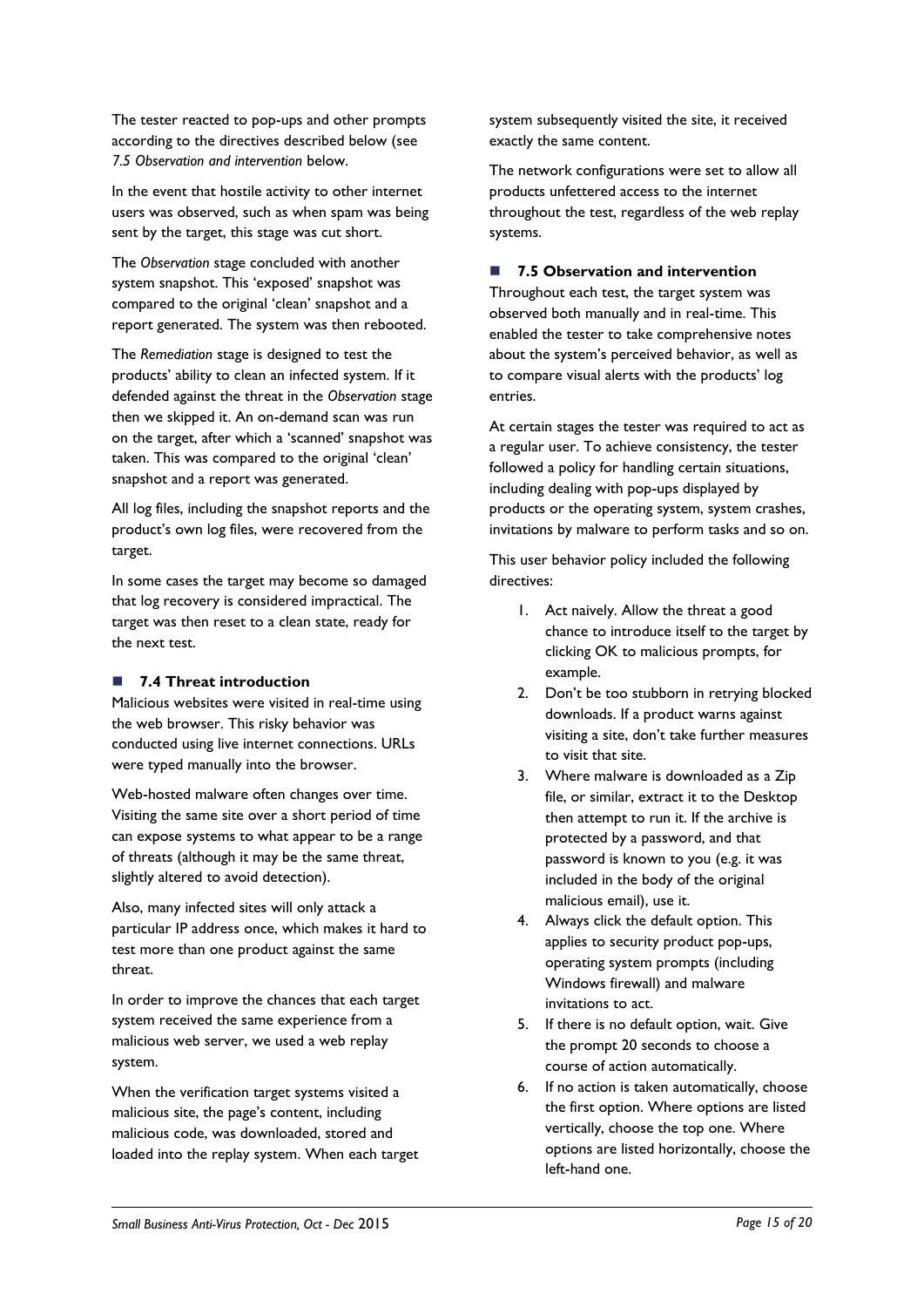The tester reacted to pop-ups and other prompts according to the directives described below (see *7.5 Observation and intervention* below.

In the event that hostile activity to other internet users was observed, such as when spam was being sent by the target, this stage was cut short.

The *Observation* stage concluded with another system snapshot. This 'exposed' snapshot was compared to the original 'clean' snapshot and a report generated. The system was then rebooted.

The *Remediation* stage is designed to test the products' ability to clean an infected system. If it defended against the threat in the *Observation* stage then we skipped it. An on-demand scan was run on the target, after which a 'scanned' snapshot was taken. This was compared to the original 'clean' snapshot and a report was generated.

All log files, including the snapshot reports and the product's own log files, were recovered from the target.

In some cases the target may become so damaged that log recovery is considered impractical. The target was then reset to a clean state, ready for the next test.

### **7.4 Threat introduction**

Malicious websites were visited in real-time using the web browser. This risky behavior was conducted using live internet connections. URLs were typed manually into the browser.

Web-hosted malware often changes over time. Visiting the same site over a short period of time can expose systems to what appear to be a range of threats (although it may be the same threat, slightly altered to avoid detection).

Also, many infected sites will only attack a particular IP address once, which makes it hard to test more than one product against the same threat.

In order to improve the chances that each target system received the same experience from a malicious web server, we used a web replay system.

When the verification target systems visited a malicious site, the page's content, including malicious code, was downloaded, stored and loaded into the replay system. When each target system subsequently visited the site, it received exactly the same content.

The network configurations were set to allow all products unfettered access to the internet throughout the test, regardless of the web replay systems.

### **7.5 Observation and intervention**

Throughout each test, the target system was observed both manually and in real-time. This enabled the tester to take comprehensive notes about the system's perceived behavior, as well as to compare visual alerts with the products' log entries.

At certain stages the tester was required to act as a regular user. To achieve consistency, the tester followed a policy for handling certain situations, including dealing with pop-ups displayed by products or the operating system, system crashes, invitations by malware to perform tasks and so on.

This user behavior policy included the following directives:

- 1. Act naively. Allow the threat a good chance to introduce itself to the target by clicking OK to malicious prompts, for example.
- 2. Don't be too stubborn in retrying blocked downloads. If a product warns against visiting a site, don't take further measures to visit that site.
- 3. Where malware is downloaded as a Zip file, or similar, extract it to the Desktop then attempt to run it. If the archive is protected by a password, and that password is known to you (e.g. it was included in the body of the original malicious email), use it.
- 4. Always click the default option. This applies to security product pop-ups, operating system prompts (including Windows firewall) and malware invitations to act.
- 5. If there is no default option, wait. Give the prompt 20 seconds to choose a course of action automatically.
- 6. If no action is taken automatically, choose the first option. Where options are listed vertically, choose the top one. Where options are listed horizontally, choose the left-hand one.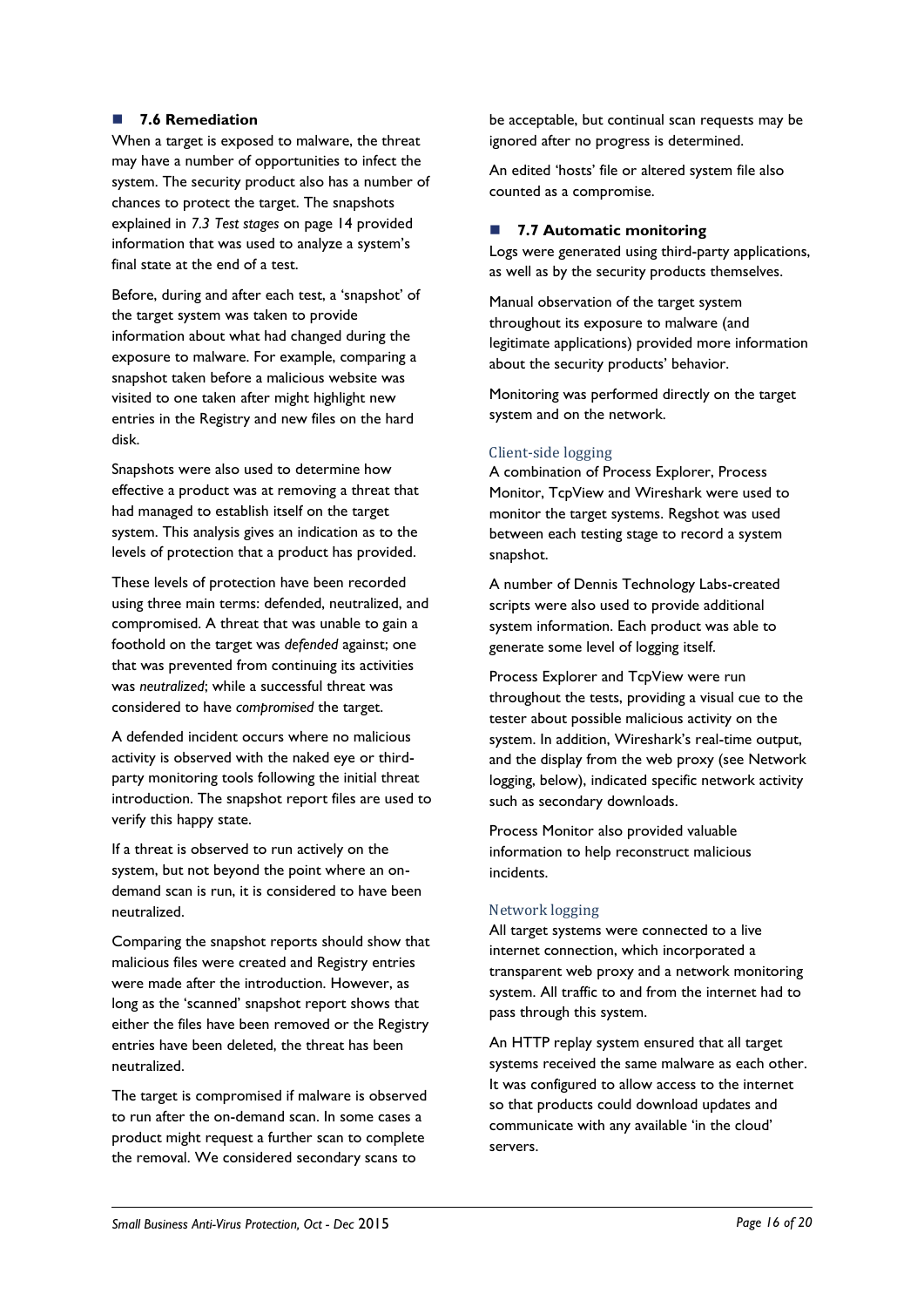### **7.6 Remediation**

When a target is exposed to malware, the threat may have a number of opportunities to infect the system. The security product also has a number of chances to protect the target. The snapshots explained in *7.3 Test stages* [on page 14](#page-13-1) provided information that was used to analyze a system's final state at the end of a test.

Before, during and after each test, a 'snapshot' of the target system was taken to provide information about what had changed during the exposure to malware. For example, comparing a snapshot taken before a malicious website was visited to one taken after might highlight new entries in the Registry and new files on the hard disk.

Snapshots were also used to determine how effective a product was at removing a threat that had managed to establish itself on the target system. This analysis gives an indication as to the levels of protection that a product has provided.

These levels of protection have been recorded using three main terms: defended, neutralized, and compromised. A threat that was unable to gain a foothold on the target was *defended* against; one that was prevented from continuing its activities was *neutralized*; while a successful threat was considered to have *compromised* the target.

A defended incident occurs where no malicious activity is observed with the naked eye or thirdparty monitoring tools following the initial threat introduction. The snapshot report files are used to verify this happy state.

If a threat is observed to run actively on the system, but not beyond the point where an ondemand scan is run, it is considered to have been neutralized.

Comparing the snapshot reports should show that malicious files were created and Registry entries were made after the introduction. However, as long as the 'scanned' snapshot report shows that either the files have been removed or the Registry entries have been deleted, the threat has been neutralized.

The target is compromised if malware is observed to run after the on-demand scan. In some cases a product might request a further scan to complete the removal. We considered secondary scans to

be acceptable, but continual scan requests may be ignored after no progress is determined.

An edited 'hosts' file or altered system file also counted as a compromise.

### ■ 7.7 **Automatic monitoring**

Logs were generated using third-party applications, as well as by the security products themselves.

Manual observation of the target system throughout its exposure to malware (and legitimate applications) provided more information about the security products' behavior.

Monitoring was performed directly on the target system and on the network.

### Client-side logging

A combination of Process Explorer, Process Monitor, TcpView and Wireshark were used to monitor the target systems. Regshot was used between each testing stage to record a system snapshot.

A number of Dennis Technology Labs-created scripts were also used to provide additional system information. Each product was able to generate some level of logging itself.

Process Explorer and TcpView were run throughout the tests, providing a visual cue to the tester about possible malicious activity on the system. In addition, Wireshark's real-time output, and the display from the web proxy (see Network logging, below), indicated specific network activity such as secondary downloads.

Process Monitor also provided valuable information to help reconstruct malicious incidents.

### Network logging

All target systems were connected to a live internet connection, which incorporated a transparent web proxy and a network monitoring system. All traffic to and from the internet had to pass through this system.

An HTTP replay system ensured that all target systems received the same malware as each other. It was configured to allow access to the internet so that products could download updates and communicate with any available 'in the cloud' servers.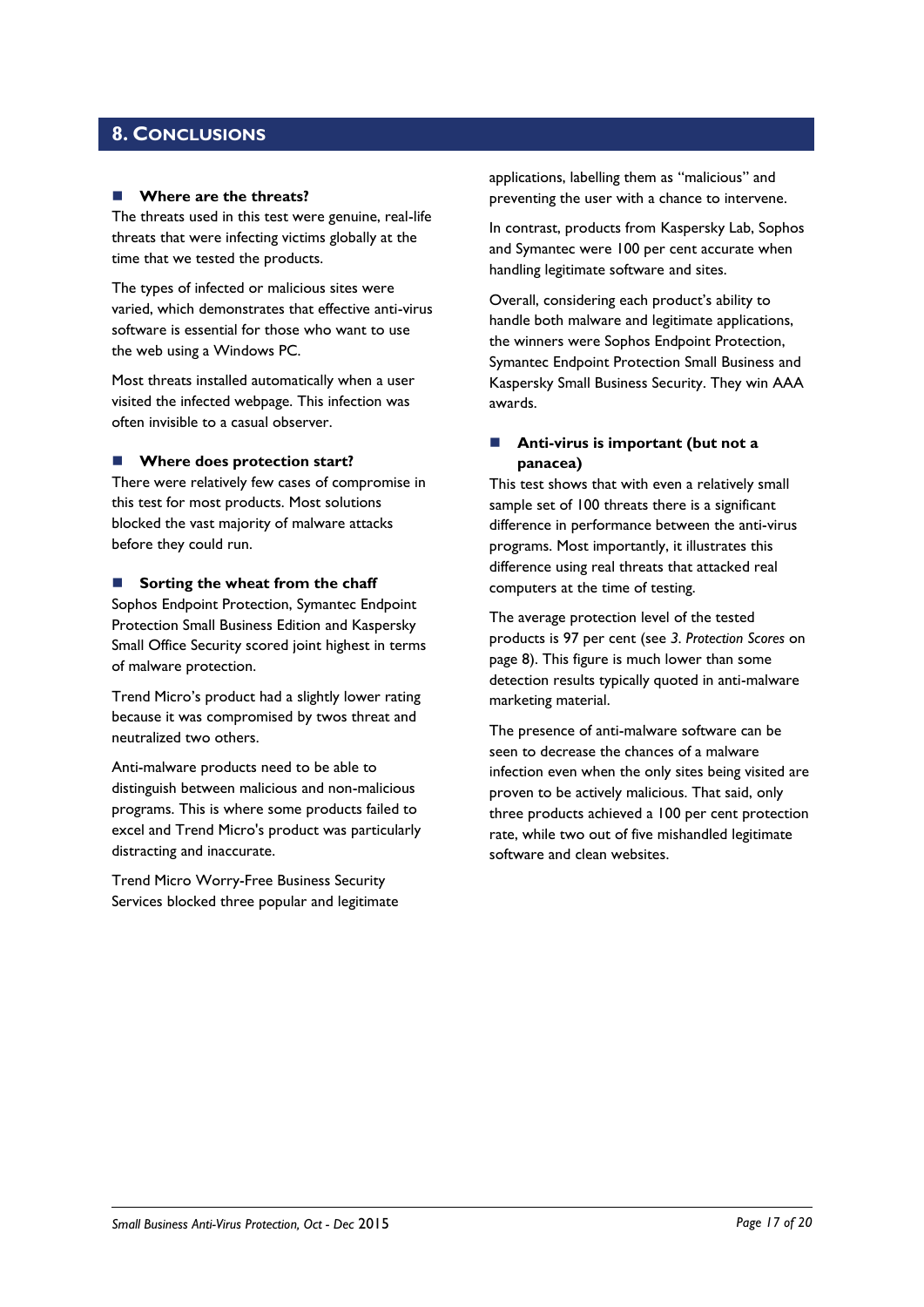### <span id="page-16-0"></span>**8. CONCLUSIONS**

#### **Where are the threats?**

The threats used in this test were genuine, real-life threats that were infecting victims globally at the time that we tested the products.

The types of infected or malicious sites were varied, which demonstrates that effective anti-virus software is essential for those who want to use the web using a Windows PC.

Most threats installed automatically when a user visited the infected webpage. This infection was often invisible to a casual observer.

#### **Where does protection start?**

There were relatively few cases of compromise in this test for most products. Most solutions blocked the vast majority of malware attacks before they could run.

#### **Sorting the wheat from the chaff**

Sophos Endpoint Protection, Symantec Endpoint Protection Small Business Edition and Kaspersky Small Office Security scored joint highest in terms of malware protection.

Trend Micro's product had a slightly lower rating because it was compromised by twos threat and neutralized two others.

Anti-malware products need to be able to distinguish between malicious and non-malicious programs. This is where some products failed to excel and Trend Micro's product was particularly distracting and inaccurate.

Trend Micro Worry-Free Business Security Services blocked three popular and legitimate applications, labelling them as "malicious" and preventing the user with a chance to intervene.

In contrast, products from Kaspersky Lab, Sophos and Symantec were 100 per cent accurate when handling legitimate software and sites.

Overall, considering each product's ability to handle both malware and legitimate applications, the winners were Sophos Endpoint Protection, Symantec Endpoint Protection Small Business and Kaspersky Small Business Security. They win AAA awards.

### **Anti-virus is important (but not a panacea)**

This test shows that with even a relatively small sample set of 100 threats there is a significant difference in performance between the anti-virus programs. Most importantly, it illustrates this difference using real threats that attacked real computers at the time of testing.

The average protection level of the tested products is 97 per cent (see *3. Protection Scores* on page 8). This figure is much lower than some detection results typically quoted in anti-malware marketing material.

The presence of anti-malware software can be seen to decrease the chances of a malware infection even when the only sites being visited are proven to be actively malicious. That said, only three products achieved a 100 per cent protection rate, while two out of five mishandled legitimate software and clean websites.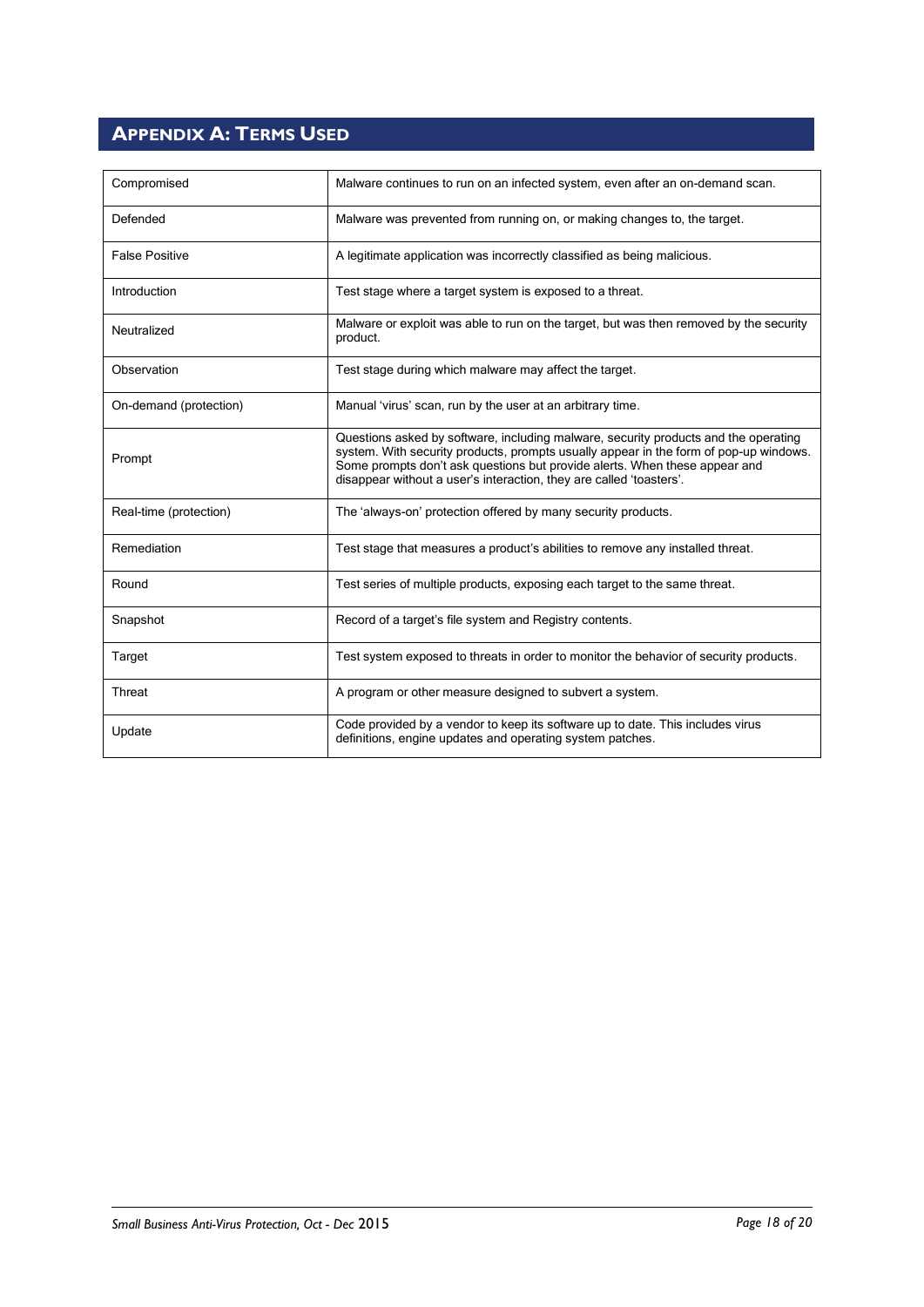## <span id="page-17-0"></span>**APPENDIX A: TERMS USED**

| Compromised            | Malware continues to run on an infected system, even after an on-demand scan.                                                                                                                                                                                                                                                     |
|------------------------|-----------------------------------------------------------------------------------------------------------------------------------------------------------------------------------------------------------------------------------------------------------------------------------------------------------------------------------|
| Defended               | Malware was prevented from running on, or making changes to, the target.                                                                                                                                                                                                                                                          |
| <b>False Positive</b>  | A legitimate application was incorrectly classified as being malicious.                                                                                                                                                                                                                                                           |
| Introduction           | Test stage where a target system is exposed to a threat.                                                                                                                                                                                                                                                                          |
| Neutralized            | Malware or exploit was able to run on the target, but was then removed by the security<br>product.                                                                                                                                                                                                                                |
| Observation            | Test stage during which malware may affect the target.                                                                                                                                                                                                                                                                            |
| On-demand (protection) | Manual 'virus' scan, run by the user at an arbitrary time.                                                                                                                                                                                                                                                                        |
| Prompt                 | Questions asked by software, including malware, security products and the operating<br>system. With security products, prompts usually appear in the form of pop-up windows.<br>Some prompts don't ask questions but provide alerts. When these appear and<br>disappear without a user's interaction, they are called 'toasters'. |
| Real-time (protection) | The 'always-on' protection offered by many security products.                                                                                                                                                                                                                                                                     |
| Remediation            | Test stage that measures a product's abilities to remove any installed threat.                                                                                                                                                                                                                                                    |
| Round                  | Test series of multiple products, exposing each target to the same threat.                                                                                                                                                                                                                                                        |
| Snapshot               | Record of a target's file system and Registry contents.                                                                                                                                                                                                                                                                           |
| Target                 | Test system exposed to threats in order to monitor the behavior of security products.                                                                                                                                                                                                                                             |
| Threat                 | A program or other measure designed to subvert a system.                                                                                                                                                                                                                                                                          |
| Update                 | Code provided by a vendor to keep its software up to date. This includes virus<br>definitions, engine updates and operating system patches.                                                                                                                                                                                       |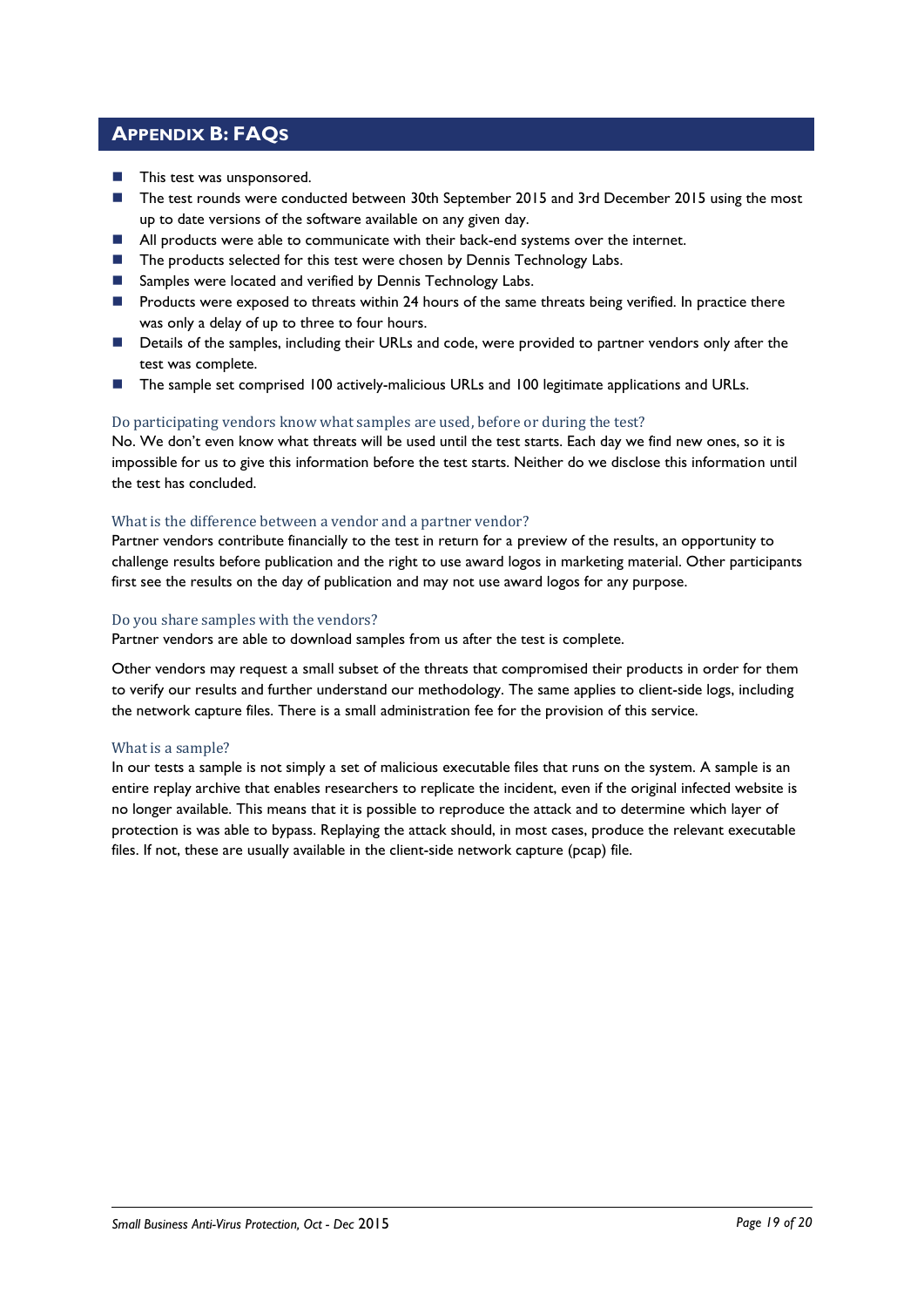### <span id="page-18-0"></span>**APPENDIX B: FAQS**

- **This test was unsponsored.**
- The test rounds were conducted between 30th September 2015 and 3rd December 2015 using the most up to date versions of the software available on any given day.
- **All products were able to communicate with their back-end systems over the internet.**
- The products selected for this test were chosen by Dennis Technology Labs.
- Samples were located and verified by Dennis Technology Labs.
- **Products were exposed to threats within 24 hours of the same threats being verified. In practice there** was only a delay of up to three to four hours.
- **Details of the samples, including their URLs and code, were provided to partner vendors only after the** test was complete.
- The sample set comprised 100 actively-malicious URLs and 100 legitimate applications and URLs.

### Do participating vendors know what samples are used, before or during the test?

No. We don't even know what threats will be used until the test starts. Each day we find new ones, so it is impossible for us to give this information before the test starts. Neither do we disclose this information until the test has concluded.

### What is the difference between a vendor and a partner vendor?

Partner vendors contribute financially to the test in return for a preview of the results, an opportunity to challenge results before publication and the right to use award logos in marketing material. Other participants first see the results on the day of publication and may not use award logos for any purpose.

### Do you share samples with the vendors?

Partner vendors are able to download samples from us after the test is complete.

Other vendors may request a small subset of the threats that compromised their products in order for them to verify our results and further understand our methodology. The same applies to client-side logs, including the network capture files. There is a small administration fee for the provision of this service.

### What is a sample?

In our tests a sample is not simply a set of malicious executable files that runs on the system. A sample is an entire replay archive that enables researchers to replicate the incident, even if the original infected website is no longer available. This means that it is possible to reproduce the attack and to determine which layer of protection is was able to bypass. Replaying the attack should, in most cases, produce the relevant executable files. If not, these are usually available in the client-side network capture (pcap) file.